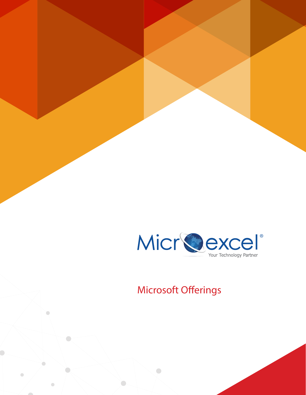

# **Microsoft Offerings**

 $\bullet$ 

 $\bullet$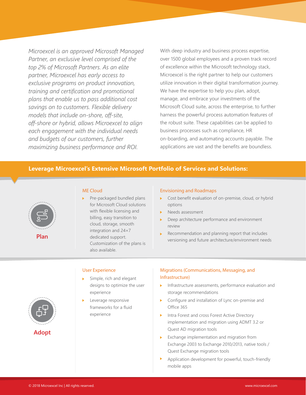*Microexcel is an approved Microsoft Managed Partner, an exclusive level comprised of the top 2% of Microsoft Partners. As an elite partner, Microexcel has early access to exclusive programs on product innovation, training and certification and promotional plans that enable us to pass additional cost savings on to customers. Flexible delivery models that include on-shore, off-site, off-shore or hybrid, allows Microexcel to align each engagement with the individual needs and budgets of our customers, further maximizing business performance and ROI.*

With deep industry and business process expertise, over 1500 global employees and a proven track record of excellence within the Microsoft technology stack, Microexcel is the right partner to help our customers utilize innovation in their digital transformation journey. We have the expertise to help you plan, adopt, manage, and embrace your investments of the Microsoft Cloud suite, across the enterprise, to further harness the powerful process automation features of the robust suite. These capabilities can be applied to business processes such as compliance, HR on-boarding, and automating accounts payable. The applications are vast and the benefits are boundless.

## **Leverage Microexcel's Extensive Microsoft Portfolio of Services and Solutions:**



**Plan**

## **ME Cloud**

Pre-packaged bundled plans for Microsoft Cloud solutions with flexible licensing and billing, easy transition to cloud, storage, smooth integration and 24×7 dedicated support. Customization of the plans is also available.

## **Envisioning and Roadmaps**

- ▶ Cost benefit evaluation of on-premise, cloud, or hybrid options
- Needs assessment
- Deep architecture performance and environment review
- Recommendation and planning report that includes versioning and future architecture/environment needs



**User Experience**

- Simple, rich and elegant designs to optimize the user experience
- Leverage responsive frameworks for a fluid experience

## **Migrations (Communications, Messaging, and Infrastructure)**

- Infrastructure assessments, performance evaluation and storage recommendations
- **Configure and installation of Lync on-premise and** Office 365
- **Intra Forest and cross Forest Active Directory** implementation and migration using ADMT 3.2 or Quest AD migration tools
- Exchange implementation and migration from Exchange 2003 to Exchange 2010/2013, native tools / Quest Exchange migration tools
- Application development for powerful, touch-friendly mobile apps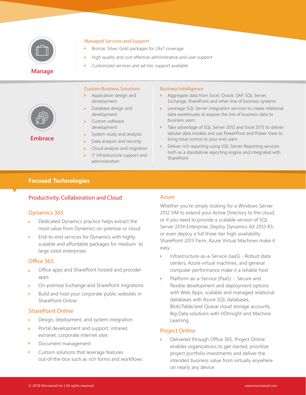

## **Managed Services and Support**

- $\blacktriangleright$ Bronze, Silver, Gold packages for 24x7 coverage
- High quality and cost effective administrative and user support
- Customized services and ad hoc support available



**Embrace**

- **Custom Business Solutions**
- Application design and development
- Database design and development
- Custom software development
- System study and analysis
- Data analysis and security ь
- Cloud analysis and migration
- IT infrastructure support and administration

## **Business Intelligence**

- Aggregate data from Excel, Oracle, SAP, SQL Server, Exchange, SharePoint and other line of business systems
- **Leverage SQL Server integration services to create relational** data warehouses to expose the line of business data to business users
- ▶ Take advantage of SQL Server 2012 and Excel 2013 to deliver tabular data models and use PowerPivot and Power View to bring total control to your end users
- Deliver rich reporting using SQL Server Reporting services both as a standalone reporting engine and integrated with **SharePoint**

# **Focused Technologies**

# **Productivity, Collaboration and Cloud**

## **Dynamics 365**

- Dedicated Dynamics practice helps extract the most value from Dynamics on-premise or cloud
- End-to-end services for Dynamics with highly scalable and affordable packages for medium to large sized enterprises

## **Office 365**

- Office apps and SharePoint hosted and provider apps
- On-premise Exchange and SharePoint migrations
- Build and host your corporate public websites in SharePoint Online

# **SharePoint Online**

- Design, deployment, and system integration
- Portal development and support: intranet, extranet, corporate internet sites
- Document management
- Custom solutions that leverage features ь out-of-the-box such as rich forms and workflows

# **Azure**

Whether you're simply looking for a Windows Server 2012 VM to extend your Active Directory to the cloud, or if you need to provide a scalable version of SQL Server 2014 Enterprise, Deploy Dynamics AX 2012 R3, or even deploy a full three-tier high-availability SharePoint 2013 Farm, Azure Virtual Machines make it easy.

- Infrastructure-as-a-Service (IaaS) Robust data Ы centers, Azure virtual machines, and general computer performance make it a reliable host
- Platform-as-a-Service (PaaS) Secure and flexible development and deployment options with Web Apps, scalable and managed relational databases with Azure SQL databases, Blob/Table/and Queue cloud storage accounts, Big Data solutions with HDInsight and Machine Learning

# **Project Online**

Delivered through Office 365, Project Online enables organizations to get started, prioritize project portfolio investments and deliver the intended business value from virtually anywhere on nearly any device.